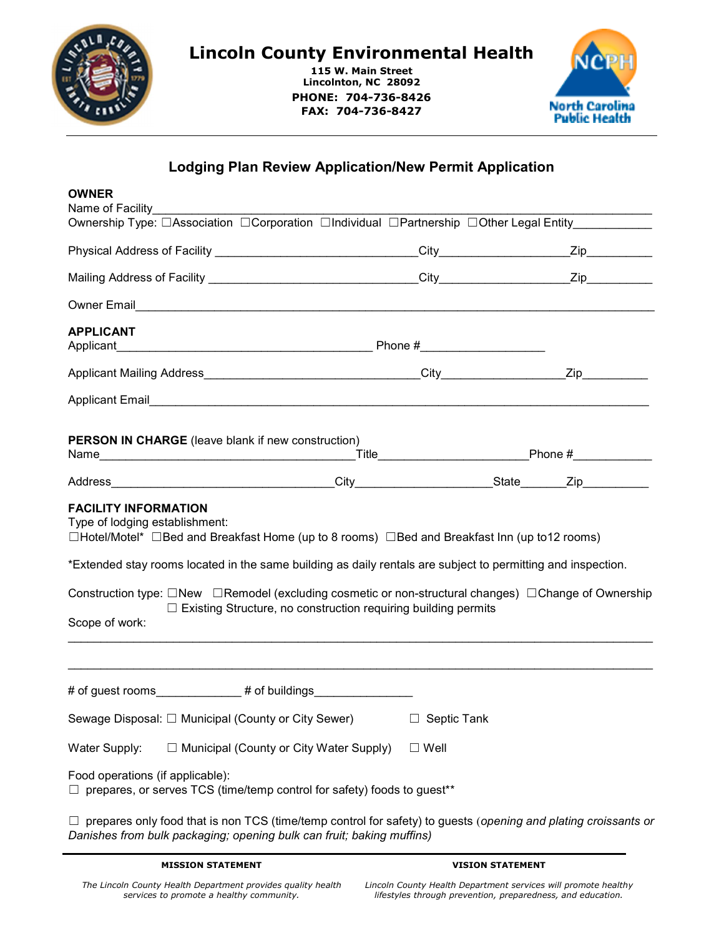

## Lincoln County Environmental Health

115 W. Main Street Lincolnton, NC 28092 PHONE: 704-736-8426 FAX: 704-736-8427



## Lodging Plan Review Application/New Permit Application

| <b>OWNER</b><br>Name of Facility                                                                                                                                                                                                                                              |                |  |  |
|-------------------------------------------------------------------------------------------------------------------------------------------------------------------------------------------------------------------------------------------------------------------------------|----------------|--|--|
| Ownership Type: □Association □Corporation □Individual □Partnership □Other Legal Entity                                                                                                                                                                                        |                |  |  |
|                                                                                                                                                                                                                                                                               |                |  |  |
|                                                                                                                                                                                                                                                                               |                |  |  |
| Owner Email <b>Water Construction Construction</b> Construction Construction Construction Construction Construction Construction Construction Construction Construction Construction Construction Construction Construction Constru                                           |                |  |  |
| <b>APPLICANT</b>                                                                                                                                                                                                                                                              |                |  |  |
|                                                                                                                                                                                                                                                                               |                |  |  |
|                                                                                                                                                                                                                                                                               |                |  |  |
| <b>PERSON IN CHARGE</b> (leave blank if new construction)                                                                                                                                                                                                                     |                |  |  |
|                                                                                                                                                                                                                                                                               |                |  |  |
| <b>FACILITY INFORMATION</b><br>Type of lodging establishment:<br>□Hotel/Motel* □Bed and Breakfast Home (up to 8 rooms) □Bed and Breakfast Inn (up to12 rooms)<br>*Extended stay rooms located in the same building as daily rentals are subject to permitting and inspection. |                |  |  |
| Construction type: □New □Remodel (excluding cosmetic or non-structural changes) □Change of Ownership<br>□ Existing Structure, no construction requiring building permits<br>Scope of work:                                                                                    |                |  |  |
|                                                                                                                                                                                                                                                                               |                |  |  |
| Sewage Disposal: □ Municipal (County or City Sewer)<br>□ Septic Tank                                                                                                                                                                                                          |                |  |  |
| $\Box$ Municipal (County or City Water Supply)<br>Water Supply:                                                                                                                                                                                                               | $\square$ Well |  |  |
| Food operations (if applicable):<br>$\Box$ prepares, or serves TCS (time/temp control for safety) foods to guest**                                                                                                                                                            |                |  |  |
| $\Box$ prepares only food that is non TCS (time/temp control for safety) to guests (opening and plating croissants or<br>Danishes from bulk packaging; opening bulk can fruit; baking muffins)                                                                                |                |  |  |

MISSION STATEMENT

## VISION STATEMENT

Lincoln County Health Department services will promote healthy lifestyles through prevention, preparedness, and education.